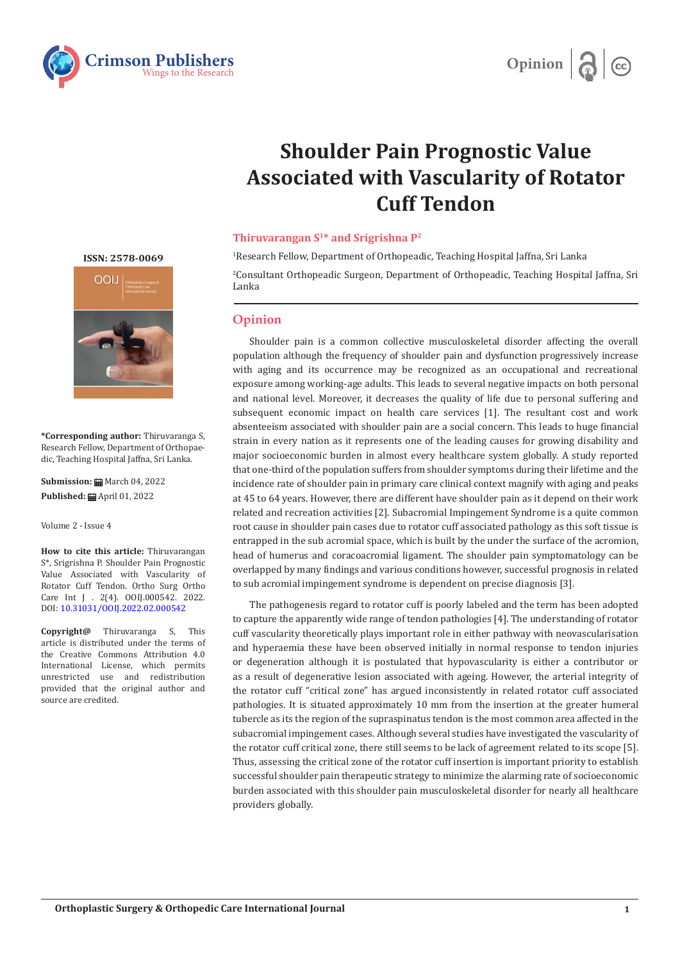



## **Shoulder Pain Prognostic Value Associated with Vascularity of Rotator Cuff Tendon**

## **Thiruvarangan S1\* and Srigrishna P2**

1 Research Fellow, Department of Orthopeadic, Teaching Hospital Jaffna, Sri Lanka

2 Consultant Orthopeadic Surgeon, Department of Orthopeadic, Teaching Hospital Jaffna, Sri Lanka

## **Opinion**

Shoulder pain is a common collective musculoskeletal disorder affecting the overall population although the frequency of shoulder pain and dysfunction progressively increase with aging and its occurrence may be recognized as an occupational and recreational exposure among working-age adults. This leads to several negative impacts on both personal and national level. Moreover, it decreases the quality of life due to personal suffering and subsequent economic impact on health care services [1]. The resultant cost and work absenteeism associated with shoulder pain are a social concern. This leads to huge financial strain in every nation as it represents one of the leading causes for growing disability and major socioeconomic burden in almost every healthcare system globally. A study reported that one-third of the population suffers from shoulder symptoms during their lifetime and the incidence rate of shoulder pain in primary care clinical context magnify with aging and peaks at 45 to 64 years. However, there are different have shoulder pain as it depend on their work related and recreation activities [2]. Subacromial Impingement Syndrome is a quite common root cause in shoulder pain cases due to rotator cuff associated pathology as this soft tissue is entrapped in the sub acromial space, which is built by the under the surface of the acromion, head of humerus and coracoacromial ligament. The shoulder pain symptomatology can be overlapped by many findings and various conditions however, successful prognosis in related to sub acromial impingement syndrome is dependent on precise diagnosis [3].

The pathogenesis regard to rotator cuff is poorly labeled and the term has been adopted to capture the apparently wide range of tendon pathologies [4]. The understanding of rotator cuff vascularity theoretically plays important role in either pathway with neovascularisation and hyperaemia these have been observed initially in normal response to tendon injuries or degeneration although it is postulated that hypovascularity is either a contributor or as a result of degenerative lesion associated with ageing. However, the arterial integrity of the rotator cuff "critical zone" has argued inconsistently in related rotator cuff associated pathologies. It is situated approximately 10 mm from the insertion at the greater humeral tubercle as its the region of the supraspinatus tendon is the most common area affected in the subacromial impingement cases. Although several studies have investigated the vascularity of the rotator cuff critical zone, there still seems to be lack of agreement related to its scope [5]. Thus, assessing the critical zone of the rotator cuff insertion is important priority to establish successful shoulder pain therapeutic strategy to minimize the alarming rate of socioeconomic burden associated with this shoulder pain musculoskeletal disorder for nearly all healthcare providers globally.

**ISSN: 2578-0069**



**\*Corresponding author:** Thiruvaranga S, Research Fellow, Department of Orthopaedic, Teaching Hospital Jaffna, Sri Lanka.

**Submission: m** March 04, 2022 **Published:** April 01, 2022

Volume 2 - Issue 4

**How to cite this article:** Thiruvarangan S\*, Srigrishna P. Shoulder Pain Prognostic Value Associated with Vascularity of Rotator Cuff Tendon. Ortho Surg Ortho Care Int J . 2(4). OOIJ.000542. 2022. DOI: [10.31031/OOIJ.2022.02.000542](http://dx.doi.org/10.31031/ooij.2022.02.000542)

**Copyright@** Thiruvaranga S, This article is distributed under the terms of the Creative Commons Attribution 4.0 International License, which permits unrestricted use and redistribution provided that the original author and source are credited.